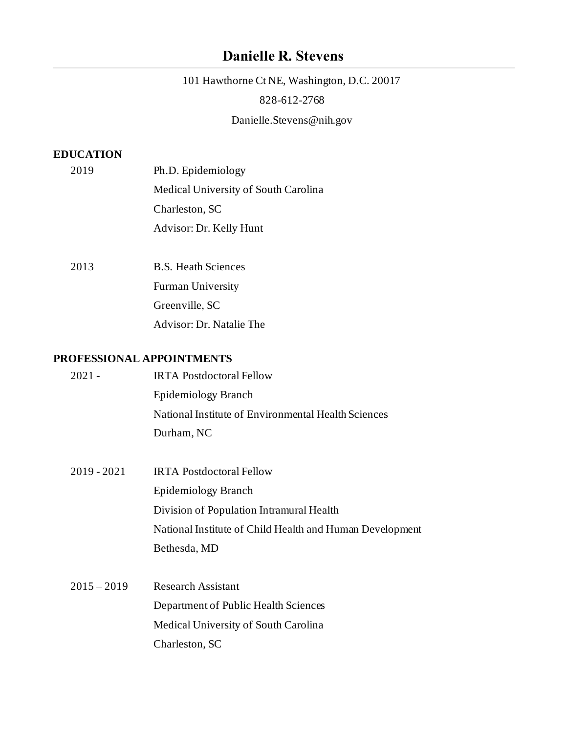# **Danielle R. Stevens**

 101 Hawthorne Ct NE, Washington, D.C. 20017 828-612-2768 [Danielle.Stevens@nih.gov](mailto:Danielle.Stevens@nih.gov) 

## **EDUCATION**

|  | 2019 | Ph.D. Epidemiology                   |
|--|------|--------------------------------------|
|  |      | Medical University of South Carolina |
|  |      | Charleston, SC                       |
|  |      | Advisor: Dr. Kelly Hunt              |
|  |      |                                      |

 Advisor: Dr. Natalie The 2013 B.S. Heath Sciences Furman University Greenville, SC

# **PROFESSIONAL APPOINTMENTS**

| $2021 -$      | <b>IRTA Postdoctoral Fellow</b>                          |
|---------------|----------------------------------------------------------|
|               | Epidemiology Branch                                      |
|               | National Institute of Environmental Health Sciences      |
|               | Durham, NC                                               |
|               |                                                          |
| $2019 - 2021$ | <b>IRTA Postdoctoral Fellow</b>                          |
|               | Epidemiology Branch                                      |
|               | Division of Population Intramural Health                 |
|               | National Institute of Child Health and Human Development |
|               | Bethesda, MD                                             |
|               |                                                          |
| $2015 - 2019$ | <b>Research Assistant</b>                                |
|               | Department of Public Health Sciences                     |
|               | Medical University of South Carolina                     |
|               | Charleston, SC                                           |
|               |                                                          |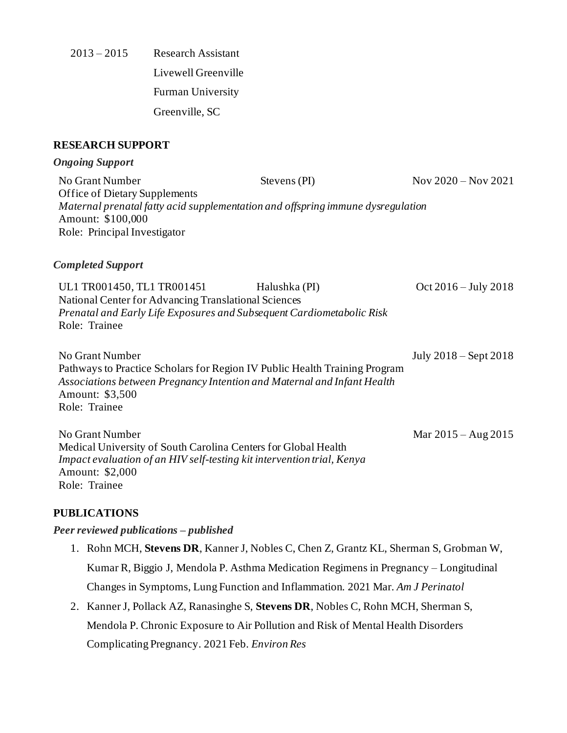2013 – 2015 Research Assistant Livewell Greenville Furman University Greenville, SC

## **RESEARCH SUPPORT**

#### *Ongoing Support*

No Grant Number Stevens (PI) Nov 2020 – Nov 2021 Office of Dietary Supplements  *Maternal prenatal fatty acid supplementation and offspring immune dysregulation*  Amount: \$100,000 Role: Principal Investigator

## *Completed Support*

 *Prenatal and Early Life Exposures and Subsequent Cardiometabolic Risk*  Role: Trainee UL1 TR001450, TL1 TR001451 Halushka (PI) Oct 2016 – July 2018 National Center for Advancing Translational Sciences

No Grant Number Pathways to Practice Scholars for Region IV Public Health Training Program  *Associations between Pregnancy Intention and Maternal and Infant Health*  Amount: \$3,500 Role: Trainee July  $2018$  – Sept 2018

No Grant Number Medical University of South Carolina Centers for Global Health  *Impact evaluation of an HIV self-testing kit intervention trial, Kenya*  Amount: \$2,000 Role: Trainee  $Mar 2015 - Aug 2015$ 

## **PUBLICATIONS**

## *[Peer reviewed publications –](https://www.ncbi.nlm.nih.gov/myncbi/1zEFdPzNmzhAv/bibliography/public/) published*

- 1. Rohn MCH, **Stevens DR**, Kanner J, Nobles C, Chen Z, Grantz KL, Sherman S, Grobman W, Kumar R, Biggio J, Mendola P. Asthma Medication Regimens in Pregnancy – Longitudinal Changes in Symptoms, Lung Function and Inflammation. 2021 Mar. *Am J Perinatol*
- 2. Kanner J, Pollack AZ, Ranasinghe S, **Stevens DR**, Nobles C, Rohn MCH, Sherman S, Mendola P. Chronic Exposure to Air Pollution and Risk of Mental Health Disorders Complicating Pregnancy. 2021 Feb. *Environ Res*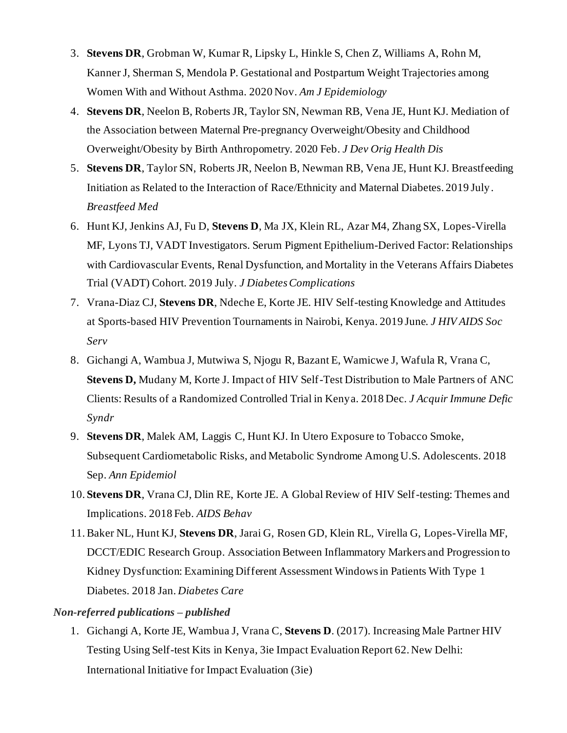- 3. **Stevens DR**, Grobman W, Kumar R, Lipsky L, Hinkle S, Chen Z, Williams A, Rohn M, Kanner J, Sherman S, Mendola P. Gestational and Postpartum Weight Trajectories among Women With and Without Asthma. 2020 Nov. *Am J Epidemiology*
- 4. **Stevens DR**, Neelon B, Roberts JR, Taylor SN, Newman RB, Vena JE, Hunt KJ. Mediation of the Association between Maternal Pre-pregnancy Overweight/Obesity and Childhood Overweight/Obesity by Birth Anthropometry. 2020 Feb. *J Dev Orig Health Dis*
- 5. **Stevens DR**, Taylor SN, Roberts JR, Neelon B, Newman RB, Vena JE, Hunt KJ. Breastfeeding Initiation as Related to the Interaction of Race/Ethnicity and Maternal Diabetes. 2019 July . *Breastfeed Med*
- 6. Hunt KJ, Jenkins AJ, Fu D, **Stevens D**, Ma JX, Klein RL, Azar M4, Zhang SX, Lopes-Virella MF, Lyons TJ, VADT Investigators. Serum Pigment Epithelium-Derived Factor: Relationships with Cardiovascular Events, Renal Dysfunction, and Mortality in the Veterans Affairs Diabetes Trial (VADT) Cohort. 2019 July. *J Diabetes Complications*
- 7. Vrana-Diaz CJ, **Stevens DR**, Ndeche E, Korte JE. HIV Self-testing Knowledge and Attitudes at Sports-based HIV Prevention Tournaments in Nairobi, Kenya. 2019 June. *J HIV AIDS Soc Serv*
- 8. Gichangi A, Wambua J, Mutwiwa S, Njogu R, Bazant E, Wamicwe J, Wafula R, Vrana C, **Stevens D,** Mudany M, Korte J. Impact of HIV Self-Test Distribution to Male Partners of ANC Clients: Results of a Randomized Controlled Trial in Kenya. 2018 Dec. *J Acquir Immune Defic Syndr*
- 9. **Stevens DR**, Malek AM, Laggis C, Hunt KJ. In Utero Exposure to Tobacco Smoke, Subsequent Cardiometabolic Risks, and Metabolic Syndrome Among U.S. Adolescents. 2018 Sep. *Ann Epidemiol*
- 10. **Stevens DR**, Vrana CJ, Dlin RE, Korte JE. A Global Review of HIV Self-testing: Themes and Implications. 2018 Feb. *AIDS Behav*
- 11. Baker NL, Hunt KJ, **Stevens DR**, Jarai G, Rosen GD, Klein RL, Virella G, Lopes-Virella MF, DCCT/EDIC Research Group. Association Between Inflammatory Markers and Progression to Kidney Dysfunction: Examining Different Assessment Windows in Patients With Type 1 Diabetes. 2018 Jan. *Diabetes Care*

## *Non-referred publications – published*

 1. Gichangi A, Korte JE, Wambua J, Vrana C, **Stevens D**. (2017). Increasing Male Partner HIV Testing Using Self-test Kits in Kenya, 3ie Impact Evaluation Report 62. New Delhi: International Initiative for Impact Evaluation (3ie)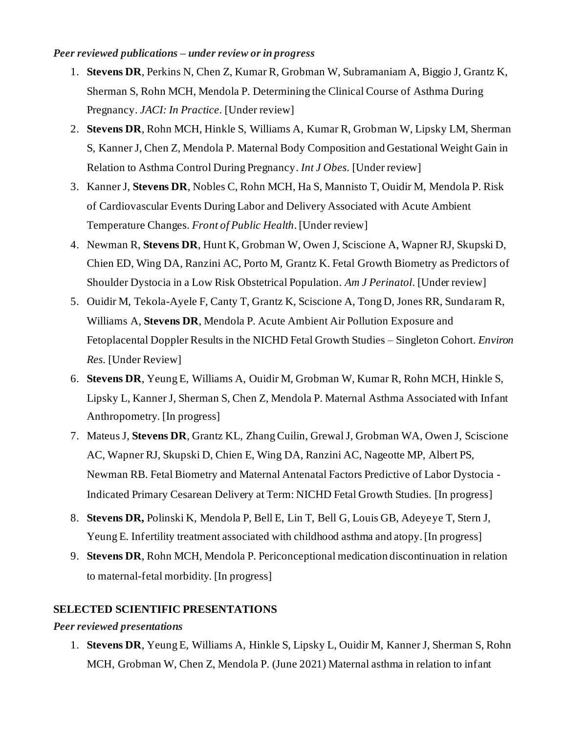## *Peer reviewed publications – under review or in progress*

- 1. **Stevens DR**, Perkins N, Chen Z, Kumar R, Grobman W, Subramaniam A, Biggio J, Grantz K, Sherman S, Rohn MCH, Mendola P. Determining the Clinical Course of Asthma During Pregnancy. *JACI: In Practice*. [Under review]
- 2. **Stevens DR**, Rohn MCH, Hinkle S, Williams A, Kumar R, Grobman W, Lipsky LM, Sherman S, Kanner J, Chen Z, Mendola P. Maternal Body Composition and Gestational Weight Gain in Relation to Asthma Control During Pregnancy. *Int J Obes.* [Under review]
- 3. Kanner J, **Stevens DR**, Nobles C, Rohn MCH, Ha S, Mannisto T, Ouidir M, Mendola P. Risk of Cardiovascular Events During Labor and Delivery Associated with Acute Ambient  Temperature Changes. *Front of Public Health.* [Under review]
- 4. Newman R, **Stevens DR**, Hunt K, Grobman W, Owen J, Sciscione A, Wapner RJ, Skupski D, Chien ED, Wing DA, Ranzini AC, Porto M, Grantz K. Fetal Growth Biometry as Predictors of Shoulder Dystocia in a Low Risk Obstetrical Population. *Am J Perinatol*. [Under review]
- 5. Ouidir M, Tekola-Ayele F, Canty T, Grantz K, Sciscione A, Tong D, Jones RR, Sundaram R, Williams A, **Stevens DR**, Mendola P. Acute Ambient Air Pollution Exposure and Fetoplacental Doppler Results in the NICHD Fetal Growth Studies – Singleton Cohort. *Environ Res.* [Under Review]
- 6. **Stevens DR**, Yeung E, Williams A, Ouidir M, Grobman W, Kumar R, Rohn MCH, Hinkle S, Lipsky L, Kanner J, Sherman S, Chen Z, Mendola P. Maternal Asthma Associated with Infant Anthropometry. [In progress]
- 7. Mateus J, **Stevens DR**, Grantz KL, Zhang Cuilin, Grewal J, Grobman WA, Owen J, Sciscione AC, Wapner RJ, Skupski D, Chien E, Wing DA, Ranzini AC, Nageotte MP, Albert PS, Newman RB. Fetal Biometry and Maternal Antenatal Factors Predictive of Labor Dystocia - Indicated Primary Cesarean Delivery at Term: NICHD Fetal Growth Studies. [In progress]
- 8. **Stevens DR,** Polinski K, Mendola P, Bell E, Lin T, Bell G, Louis GB, Adeyeye T, Stern J, Yeung E. Infertility treatment associated with childhood asthma and atopy. [In progress]
- 9. **Stevens DR**, Rohn MCH, Mendola P. Periconceptional medication discontinuation in relation to maternal-fetal morbidity. [In progress]

## **SELECTED SCIENTIFIC PRESENTATIONS**

## *Peer reviewed presentations*

 1. **Stevens DR**, Yeung E, Williams A, Hinkle S, Lipsky L, Ouidir M, Kanner J, Sherman S, Rohn MCH, Grobman W, Chen Z, Mendola P. (June 2021) Maternal asthma in relation to infant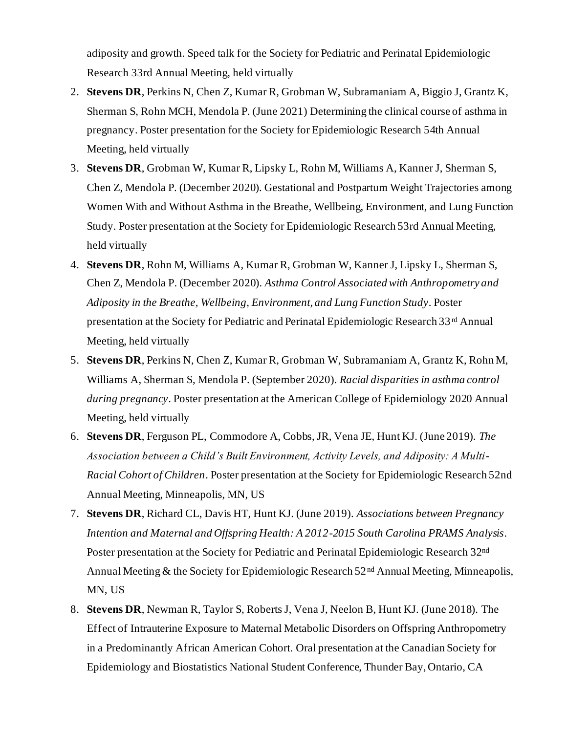adiposity and growth. Speed talk for the Society for Pediatric and Perinatal Epidemiologic Research 33rd Annual Meeting, held virtually

- 2. **Stevens DR**, Perkins N, Chen Z, Kumar R, Grobman W, Subramaniam A, Biggio J, Grantz K, Sherman S, Rohn MCH, Mendola P. (June 2021) Determining the clinical course of asthma in pregnancy. Poster presentation for the Society for Epidemiologic Research 54th Annual Meeting, held virtually
- 3. **Stevens DR**, Grobman W, Kumar R, Lipsky L, Rohn M, Williams A, Kanner J, Sherman S, Chen Z, Mendola P. (December 2020). Gestational and Postpartum Weight Trajectories among Women With and Without Asthma in the Breathe, Wellbeing, Environment, and Lung Function Study. Poster presentation at the Society for Epidemiologic Research 53rd Annual Meeting, held virtually
- 4. **Stevens DR**, Rohn M, Williams A, Kumar R, Grobman W, Kanner J, Lipsky L, Sherman S, Chen Z, Mendola P. (December 2020). *Asthma Control Associated with Anthropometry and Adiposity in the Breathe, Wellbeing, Environment, and Lung Function Study*. Poster presentation at the Society for Pediatric and Perinatal Epidemiologic Research 33rd Annual Meeting, held virtually
- 5. **Stevens DR**, Perkins N, Chen Z, Kumar R, Grobman W, Subramaniam A, Grantz K, Rohn M, Williams A, Sherman S, Mendola P. (September 2020). *Racial disparities in asthma control during pregnancy*. Poster presentation at the American College of Epidemiology 2020 Annual Meeting, held virtually
- 6. **Stevens DR**, Ferguson PL, Commodore A, Cobbs, JR, Vena JE, Hunt KJ. (June 2019). *The Association between a Child's Built Environment, Activity Levels, and Adiposity: A Multi- Racial Cohort of Children*. Poster presentation at the Society for Epidemiologic Research 52nd Annual Meeting, Minneapolis, MN, US
- 7. **Stevens DR**, Richard CL, Davis HT, Hunt KJ. (June 2019). *Associations between Pregnancy Intention and Maternal and Offspring Health: A 2012-2015 South Carolina PRAMS Analysis*. Poster presentation at the Society for Pediatric and Perinatal Epidemiologic Research 32<sup>nd</sup> Annual Meeting & the Society for Epidemiologic Research 52<sup>nd</sup> Annual Meeting, Minneapolis, MN, US
- 8. **Stevens DR**, Newman R, Taylor S, Roberts J, Vena J, Neelon B, Hunt KJ. (June 2018). The Effect of Intrauterine Exposure to Maternal Metabolic Disorders on Offspring Anthropometry in a Predominantly African American Cohort. Oral presentation at the Canadian Society for Epidemiology and Biostatistics National Student Conference, Thunder Bay, Ontario, CA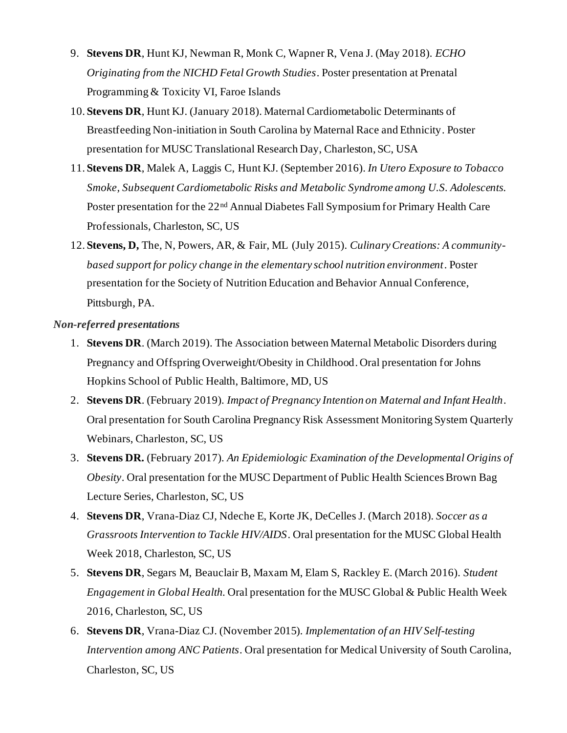- 9. **Stevens DR**, Hunt KJ, Newman R, Monk C, Wapner R, Vena J. (May 2018). *ECHO Originating from the NICHD Fetal Growth Studies*. Poster presentation at Prenatal Programming & Toxicity VI, Faroe Islands
- 10. **Stevens DR**, Hunt KJ. (January 2018). Maternal Cardiometabolic Determinants of Breastfeeding Non-initiation in South Carolina by Maternal Race and Ethnicity. Poster presentation for MUSC Translational Research Day, Charleston, SC, USA
- 11. **Stevens DR**, Malek A, Laggis C, Hunt KJ. (September 2016). *In Utero Exposure to Tobacco Smoke, Subsequent Cardiometabolic Risks and Metabolic Syndrome among U.S. Adolescents.*  Poster presentation for the 22<sup>nd</sup> Annual Diabetes Fall Symposium for Primary Health Care Professionals, Charleston, SC, US
- 12. **Stevens, D,** The, N, Powers, AR, & Fair, ML (July 2015). *Culinary Creations: A community- based support for policy change in the elementary school nutrition environment*. Poster presentation for the Society of Nutrition Education and Behavior Annual Conference, Pittsburgh, PA.

## *Non-referred presentations*

- 1. **Stevens DR**. (March 2019). The Association between Maternal Metabolic Disorders during Pregnancy and Offspring Overweight/Obesity in Childhood. Oral presentation for Johns Hopkins School of Public Health, Baltimore, MD, US
- 2. **Stevens DR**. (February 2019). *Impact of Pregnancy Intention on Maternal and Infant Health*. Oral presentation for South Carolina Pregnancy Risk Assessment Monitoring System Quarterly Webinars, Charleston, SC, US
- 3. **Stevens DR.** (February 2017). *An Epidemiologic Examination of the Developmental Origins of Obesity*. Oral presentation for the MUSC Department of Public Health Sciences Brown Bag Lecture Series, Charleston, SC, US
- 4. **Stevens DR**, Vrana-Diaz CJ, Ndeche E, Korte JK, DeCelles J. (March 2018). *Soccer as a Grassroots Intervention to Tackle HIV/AIDS*. Oral presentation for the MUSC Global Health Week 2018, Charleston, SC, US
- 5. **Stevens DR**, Segars M, Beauclair B, Maxam M, Elam S, Rackley E. (March 2016). *Student Engagement in Global Health*. Oral presentation for the MUSC Global & Public Health Week 2016, Charleston, SC, US
- 6. **Stevens DR**, Vrana-Diaz CJ. (November 2015). *Implementation of an HIV Self-testing Intervention among ANC Patients*. Oral presentation for Medical University of South Carolina, Charleston, SC, US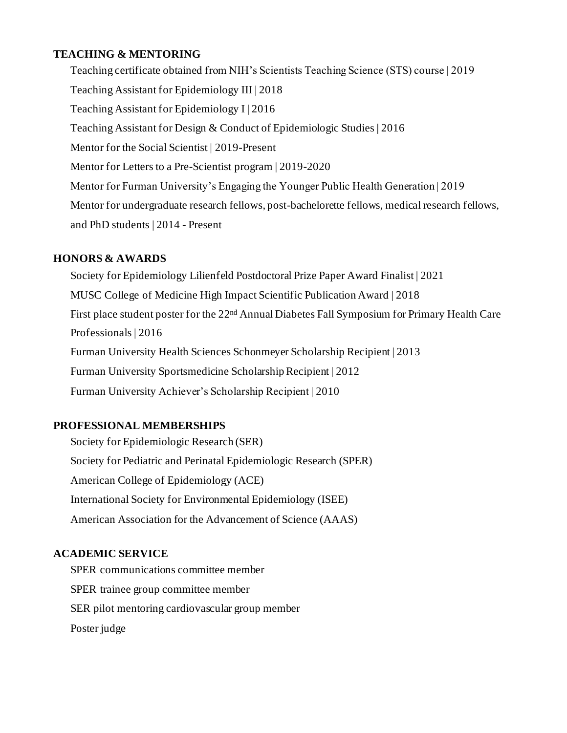## **TEACHING & MENTORING**

 Teaching certificate obtained from NIH's Scientists Teaching Science (STS) course | 2019 Teaching Assistant for Epidemiology III | 2018 Teaching Assistant for Epidemiology I | 2016 Teaching Assistant for Design & Conduct of Epidemiologic Studies | 2016 Mentor fo[r the Social Scientist](https://www.thesocialscientist.org/) | 2019-Present Mentor fo[r Letters to a Pre-Scientist](https://www.prescientist.org/) program | 2019-2020 Mentor for Furman University's Engaging the Younger Public Health Generation | 2019 Mentor for undergraduate research fellows, post-bachelorette fellows, medical research fellows, and PhD students | 2014 - Present

## **HONORS & AWARDS**

 Society for Epidemiology Lilienfeld Postdoctoral Prize Paper Award Finalist | 2021 MUSC College of Medicine High Impact Scientific Publication Award | 2018 First place student poster for the 22<sup>nd</sup> Annual Diabetes Fall Symposium for Primary Health Care Furman University Health Sciences Schonmeyer Scholarship Recipient | 2013 Furman University Sportsmedicine Scholarship Recipient | 2012 Furman University Achiever's Scholarship Recipient | 2010 Professionals | 2016

# **PROFESSIONAL MEMBERSHIPS**

 Society for Epidemiologic Research (SER) Society for Pediatric and Perinatal Epidemiologic Research (SPER) American College of Epidemiology (ACE) International Society for Environmental Epidemiology (ISEE) American Association for the Advancement of Science (AAAS)

## **ACADEMIC SERVICE**

 SPER communications committee member SPER trainee group committee member SER pilot mentoring cardiovascular group member Poster judge